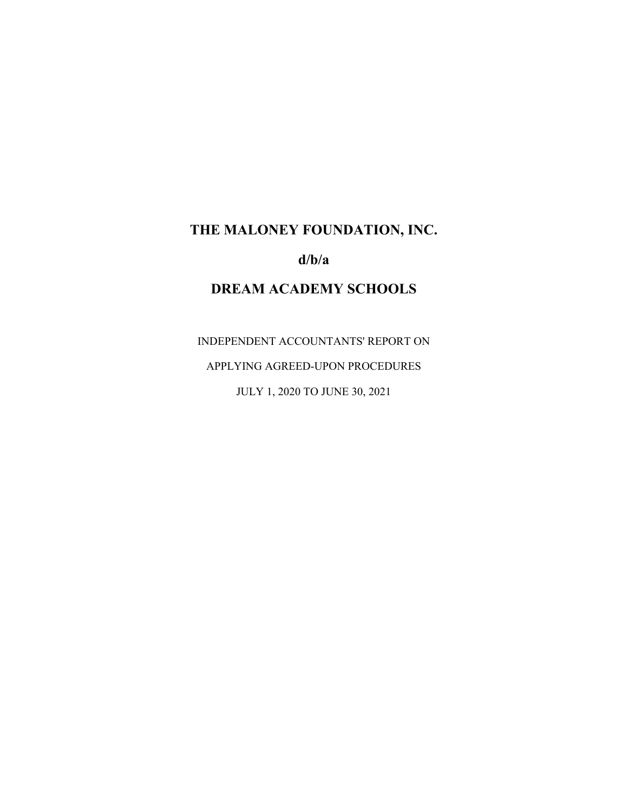# **THE MALONEY FOUNDATION, INC.**

**d/b/a**

# **DREAM ACADEMY SCHOOLS**

INDEPENDENT ACCOUNTANTS' REPORT ON

APPLYING AGREED-UPON PROCEDURES

JULY 1, 2020 TO JUNE 30, 2021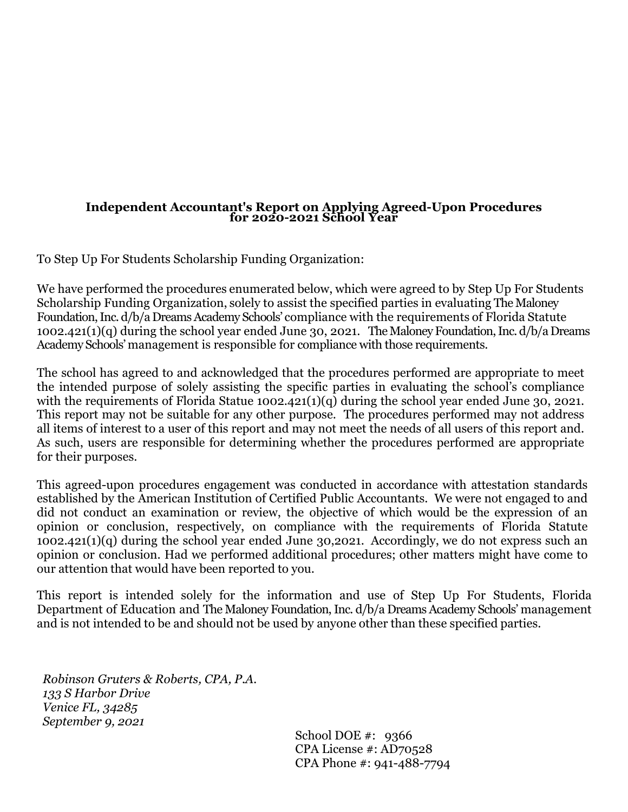# **Independent Accountant's Report on Applying Agreed-Upon Procedures for 2020-2021 School Year**

To Step Up For Students Scholarship Funding Organization:

We have performed the procedures enumerated below, which were agreed to by Step Up For Students Scholarship Funding Organization, solely to assist the specified parties in evaluating The Maloney Foundation, Inc.  $d/b/a$  Dreams Academy Schools' compliance with the requirements of Florida Statute 1002.421(1)(q) during the school year ended June 30, 2021. TheMaloneyFoundation,Inc. d/b/a Dreams Academy Schools' management is responsible for compliance with those requirements.

The school has agreed to and acknowledged that the procedures performed are appropriate to meet the intended purpose of solely assisting the specific parties in evaluating the school's compliance with the requirements of Florida Statue 1002.421(1)(q) during the school year ended June 30, 2021. This report may not be suitable for any other purpose. The procedures performed may not address all items of interest to a user of this report and may not meet the needs of all users of this report and. As such, users are responsible for determining whether the procedures performed are appropriate for their purposes.

This agreed-upon procedures engagement was conducted in accordance with attestation standards established by the American Institution of Certified Public Accountants. We were not engaged to and did not conduct an examination or review, the objective of which would be the expression of an opinion or conclusion, respectively, on compliance with the requirements of Florida Statute 1002.421(1)(q) during the school year ended June 30,2021. Accordingly, we do not express such an opinion or conclusion. Had we performed additional procedures; other matters might have come to our attention that would have been reported to you.

This report is intended solely for the information and use of Step Up For Students, Florida Department of Education and The Maloney Foundation, Inc.  $d/b/a$  Dreams Academy Schools' management and is not intended to be and should not be used by anyone other than these specified parties.

*Robinson Gruters & Roberts, CPA, P.A. 133 S Harbor Drive Venice FL, 34285 September 9, 2021*

School DOE #: 9366 CPA License #: AD70528 CPA Phone #: 941-488-7794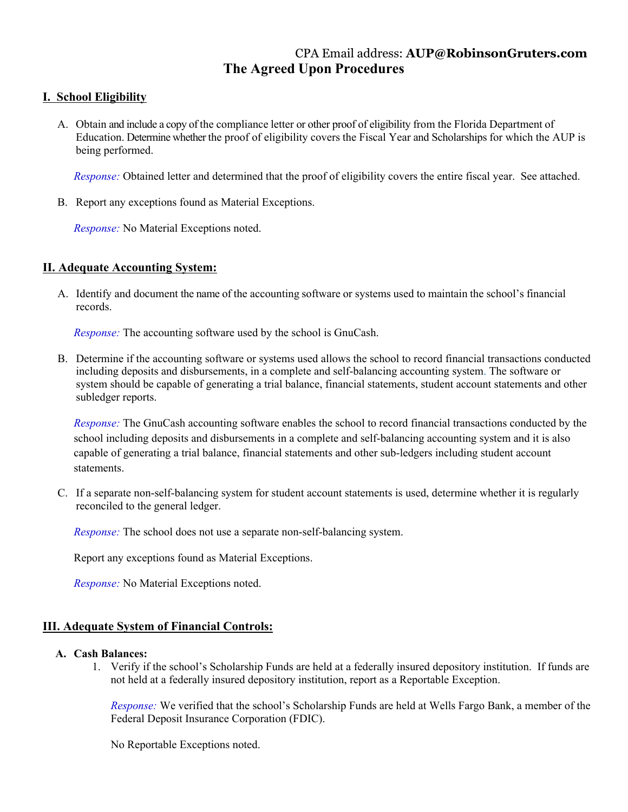# CPA Email address: **AUP@RobinsonGruters.com The Agreed Upon Procedures**

# **I. School Eligibility**

A. Obtain and include a copy of the compliance letter or other proof of eligibility from the Florida Departmentof Education. Determine whether the proof of eligibility covers the Fiscal Year and Scholarships for which the AUP is being performed.

*Response:* Obtained letter and determined that the proof of eligibility covers the entire fiscal year. See attached.

B. Report any exceptions found as Material Exceptions.

*Response:* No Material Exceptions noted.

# **II. Adequate Accounting System:**

A. Identify and document the name of the accounting software or systems used to maintain the school's financial records.

*Response:* The accounting software used by the school is GnuCash.

B. Determine if the accounting software or systems used allows the school to record financial transactions conducted including deposits and disbursements, in a complete and self-balancing accounting system. The software or system should be capable of generating a trial balance, financial statements, student account statements and other subledger reports.

*Response:* The GnuCash accounting software enables the school to record financial transactions conducted by the school including deposits and disbursements in a complete and self-balancing accounting system and it is also capable of generating a trial balance, financial statements and other sub-ledgers including student account statements.

C. If a separate non-self-balancing system for student account statements is used, determine whether it is regularly reconciled to the general ledger.

*Response:* The school does not use a separate non-self-balancing system.

Report any exceptions found as Material Exceptions.

*Response:* No Material Exceptions noted.

# **III. Adequate System of Financial Controls:**

## **A. Cash Balances:**

1. Verify if the school's Scholarship Funds are held at a federally insured depository institution. If funds are not held at a federally insured depository institution, report as a Reportable Exception.

*Response:* We verified that the school's Scholarship Funds are held at Wells Fargo Bank, a member of the Federal Deposit Insurance Corporation (FDIC).

No Reportable Exceptions noted.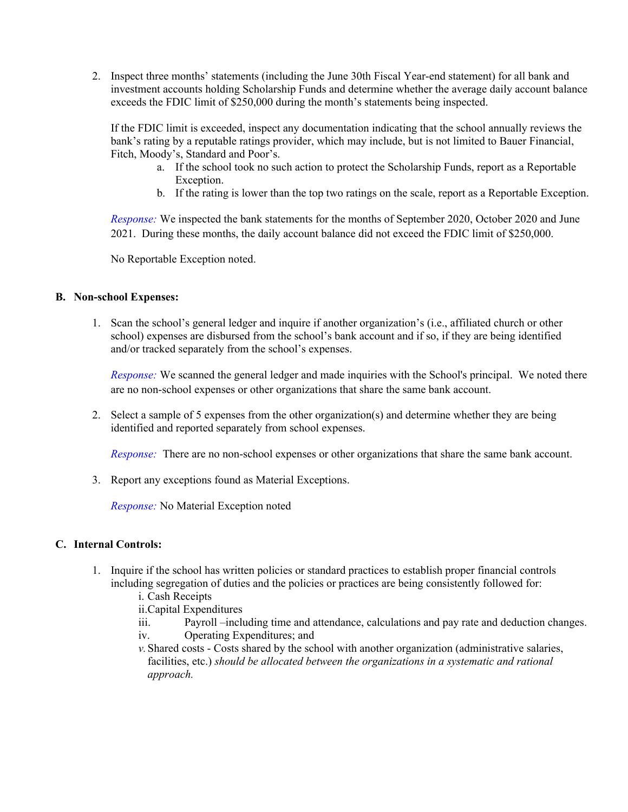2. Inspect three months' statements (including the June 30th Fiscal Year-end statement) for all bank and investment accounts holding Scholarship Funds and determine whether the average daily account balance exceeds the FDIC limit of \$250,000 during the month's statements being inspected.

If the FDIC limit is exceeded, inspect any documentation indicating that the school annually reviews the bank's rating by a reputable ratings provider, which may include, but is not limited to Bauer Financial, Fitch, Moody's, Standard and Poor's.

- a. If the school took no such action to protect the Scholarship Funds, report as a Reportable Exception.
- b. If the rating is lower than the top two ratings on the scale, report as a Reportable Exception.

*Response:* We inspected the bank statements for the months of September 2020, October 2020 and June 2021. During these months, the daily account balance did not exceed the FDIC limit of \$250,000.

No Reportable Exception noted.

### **B. Non-school Expenses:**

1. Scan the school's general ledger and inquire if another organization's (i.e., affiliated church or other school) expenses are disbursed from the school's bank account and if so, if they are being identified and/or tracked separately from the school's expenses.

*Response:* We scanned the general ledger and made inquiries with the School's principal. We noted there are no non-school expenses or other organizations that share the same bank account.

2. Select a sample of 5 expenses from the other organization(s) and determine whether they are being identified and reported separately from school expenses.

*Response:* There are no non-school expenses or other organizations that share the same bank account.

3. Report any exceptions found as Material Exceptions.

*Response:* No Material Exception noted

# **C. Internal Controls:**

- 1. Inquire if the school has written policies or standard practices to establish proper financial controls including segregation of duties and the policies or practices are being consistently followed for:
	- i. Cash Receipts
	- ii.Capital Expenditures
	- iii. Payroll –including time and attendance, calculations and pay rate and deduction changes.
	- iv. Operating Expenditures; and
	- *v.*Shared costs Costs shared by the school with another organization (administrative salaries, facilities, etc.) *should be allocated between the organizations in a systematic and rational approach.*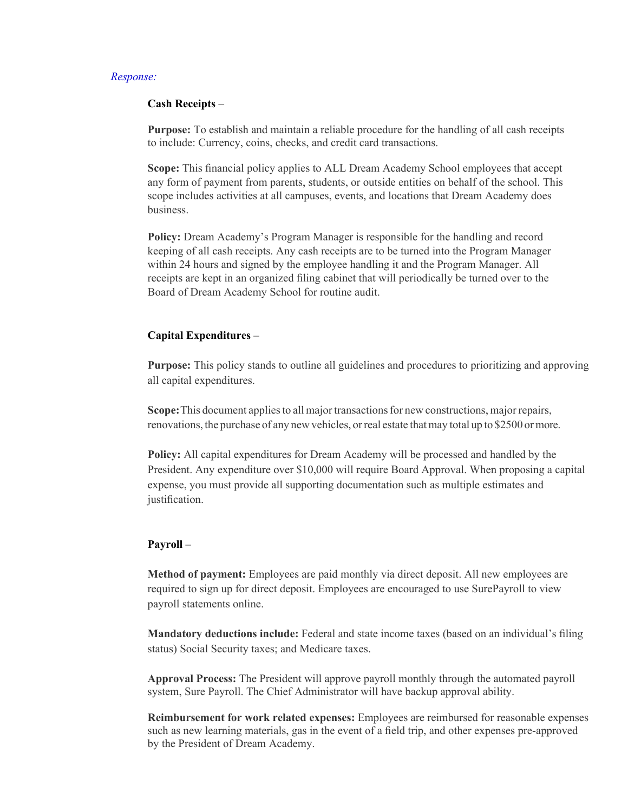#### *Response:*

#### **Cash Receipts** –

**Purpose:** To establish and maintain a reliable procedure for the handling of all cash receipts to include: Currency, coins, checks, and credit card transactions.

**Scope:** This financial policy applies to ALL Dream Academy School employees that accept any form of payment from parents, students, or outside entities on behalf of the school. This scope includes activities at all campuses, events, and locations that Dream Academy does business.

**Policy:** Dream Academy's Program Manager is responsible for the handling and record keeping of all cash receipts. Any cash receipts are to be turned into the Program Manager within 24 hours and signed by the employee handling it and the Program Manager. All receipts are kept in an organized filing cabinet that will periodically be turned over to the Board of Dream Academy School for routine audit.

#### **Capital Expenditures** –

**Purpose:** This policy stands to outline all guidelines and procedures to prioritizing and approving all capital expenditures.

**Scope:** This document applies to all major transactions for new constructions, major repairs, renovations, the purchase of any new vehicles, orreal estate thatmay total up to \$2500 ormore.

**Policy:** All capital expenditures for Dream Academy will be processed and handled by the President. Any expenditure over \$10,000 will require Board Approval. When proposing a capital expense, you must provide all supporting documentation such as multiple estimates and justification.

#### **Payroll** –

**Method of payment:** Employees are paid monthly via direct deposit. All new employees are required to sign up for direct deposit. Employees are encouraged to use SurePayroll to view payroll statements online.

**Mandatory deductions include:** Federal and state income taxes (based on an individual's filing status) Social Security taxes; and Medicare taxes.

**Approval Process:** The President will approve payroll monthly through the automated payroll system, Sure Payroll. The Chief Administrator will have backup approval ability.

**Reimbursement for work related expenses:** Employees are reimbursed for reasonable expenses such as new learning materials, gas in the event of a field trip, and other expenses pre-approved by the President of Dream Academy.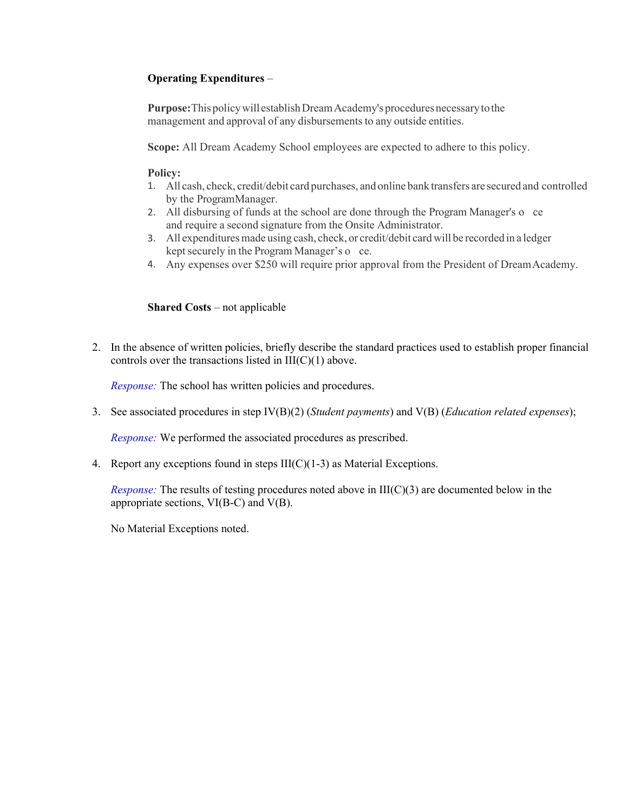## **Operating Expenditures** –

Purpose: This policy will establish Dream Academy's procedures necessary to the management and approval of any disbursements to any outside entities.

**Scope:** All Dream Academy School employees are expected to adhere to this policy.

### **Policy:**

- 1. All cash, check, credit/debit card purchases, and online bank transfers are secured and controlled by the ProgramManager.
- 2. All disbursing of funds at the school are done through the Program Manager's o ce and require a second signature from the Onsite Administrator.
- 3. All expendituresmade using cash, check, or credit/debit cardwill be recorded in a ledger kept securely in the Program Manager's o ce.
- 4. Any expenses over \$250 will require prior approval from the President of DreamAcademy.

### **Shared Costs** – not applicable

2. In the absence of written policies, briefly describe the standard practices used to establish proper financial controls over the transactions listed in  $III(C)(1)$  above.

*Response:* The school has written policies and procedures.

3. See associated procedures in step IV(B)(2) (*Student payments*) and V(B) (*Education related expenses*);

*Response:* We performed the associated procedures as prescribed.

4. Report any exceptions found in steps III(C)(1-3) as Material Exceptions.

*Response:* The results of testing procedures noted above in III(C)(3) are documented below in the appropriate sections,  $VI(B-C)$  and  $V(B)$ .

No Material Exceptions noted.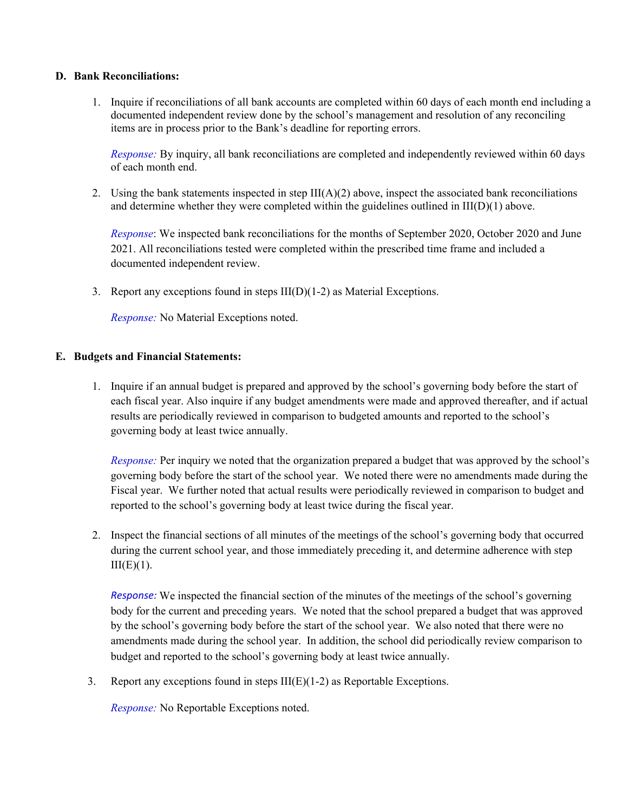### **D. Bank Reconciliations:**

1. Inquire if reconciliations of all bank accounts are completed within 60 days of each month end including a documented independent review done by the school's management and resolution of any reconciling items are in process prior to the Bank's deadline for reporting errors.

*Response:* By inquiry, all bank reconciliations are completed and independently reviewed within 60 days of each month end.

2. Using the bank statements inspected in step  $III(A)(2)$  above, inspect the associated bank reconciliations and determine whether they were completed within the guidelines outlined in III(D)(1) above.

*Response*: We inspected bank reconciliations for the months of September 2020, October 2020 and June 2021. All reconciliations tested were completed within the prescribed time frame and included a documented independent review.

3. Report any exceptions found in steps III(D)(1-2) as Material Exceptions.

*Response:* No Material Exceptions noted.

# **E. Budgets and Financial Statements:**

1. Inquire if an annual budget is prepared and approved by the school's governing body before the start of each fiscal year. Also inquire if any budget amendments were made and approved thereafter, and if actual results are periodically reviewed in comparison to budgeted amounts and reported to the school's governing body at least twice annually.

*Response:* Per inquiry we noted that the organization prepared a budget that was approved by the school's governing body before the start of the school year. We noted there were no amendments made during the Fiscal year. We further noted that actual results were periodically reviewed in comparison to budget and reported to the school's governing body at least twice during the fiscal year.

2. Inspect the financial sections of all minutes of the meetings of the school's governing body that occurred during the current school year, and those immediately preceding it, and determine adherence with step  $III(E)(1)$ .

*Response:* We inspected the financial section of the minutes of the meetings of the school's governing body for the current and preceding years. We noted that the school prepared a budget that was approved by the school's governing body before the start of the school year. We also noted that there were no amendments made during the school year. In addition, the school did periodically review comparison to budget and reported to the school's governing body at least twice annually.

3. Report any exceptions found in steps  $III(E)(1-2)$  as Reportable Exceptions.

*Response:* No Reportable Exceptions noted.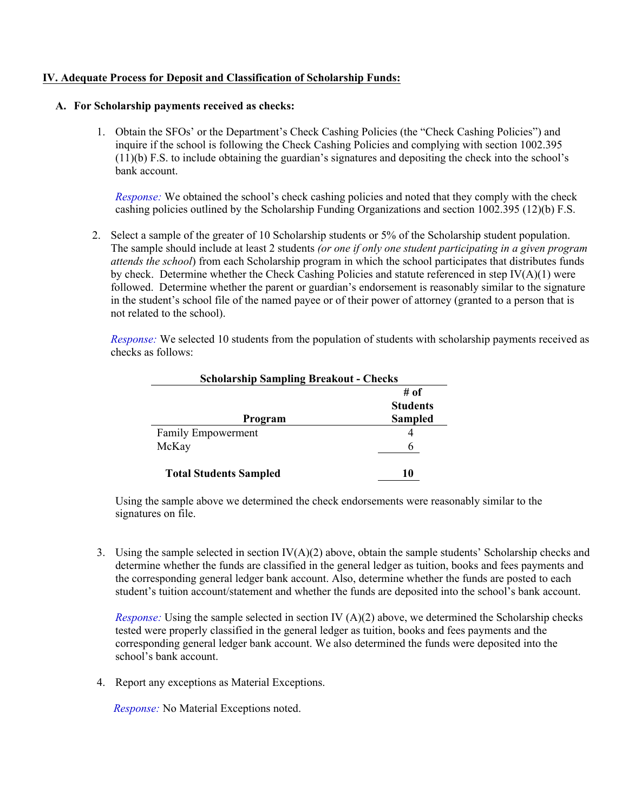### **IV. Adequate Process for Deposit and Classification of Scholarship Funds:**

### **A. For Scholarship payments received as checks:**

1. Obtain the SFOs' or the Department's Check Cashing Policies (the "Check Cashing Policies") and inquire if the school is following the Check Cashing Policies and complying with section 1002.395 (11)(b) F.S. to include obtaining the guardian's signatures and depositing the check into the school's bank account.

*Response:* We obtained the school's check cashing policies and noted that they comply with the check cashing policies outlined by the Scholarship Funding Organizations and section 1002.395 (12)(b) F.S.

2. Select a sample of the greater of 10 Scholarship students or 5% of the Scholarship student population. The sample should include at least 2 students *(or one if only one student participating in a given program attends the school*) from each Scholarship program in which the school participates that distributes funds by check. Determine whether the Check Cashing Policies and statute referenced in step  $IV(A)(1)$  were followed. Determine whether the parent or guardian's endorsement is reasonably similar to the signature in the student's school file of the named payee or of their power of attorney (granted to a person that is not related to the school).

*Response:* We selected 10 students from the population of students with scholarship payments received as checks as follows:

| <b>Scholarship Sampling Breakout - Checks</b> |                 |  |
|-----------------------------------------------|-----------------|--|
|                                               | # of            |  |
|                                               | <b>Students</b> |  |
| Program                                       | <b>Sampled</b>  |  |
| <b>Family Empowerment</b>                     | 4               |  |
| McKay                                         | 6               |  |
|                                               |                 |  |
| <b>Total Students Sampled</b>                 | 10              |  |

Using the sample above we determined the check endorsements were reasonably similar to the signatures on file.

3. Using the sample selected in section IV(A)(2) above, obtain the sample students' Scholarship checks and determine whether the funds are classified in the general ledger as tuition, books and fees payments and the corresponding general ledger bank account. Also, determine whether the funds are posted to each student's tuition account/statement and whether the funds are deposited into the school's bank account.

*Response:* Using the sample selected in section IV (A)(2) above, we determined the Scholarship checks tested were properly classified in the general ledger as tuition, books and fees payments and the corresponding general ledger bank account. We also determined the funds were deposited into the school's bank account.

4. Report any exceptions as Material Exceptions.

 *Response:* No Material Exceptions noted.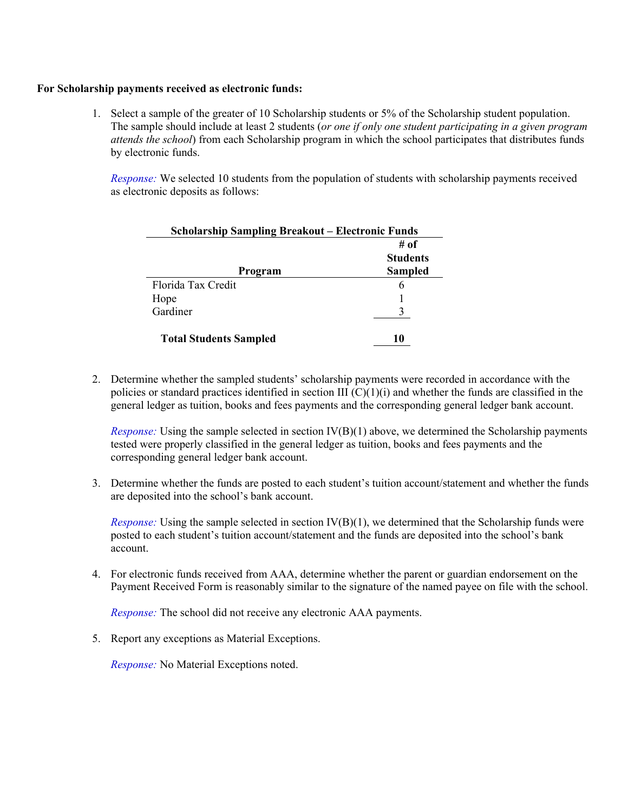### **For Scholarship payments received as electronic funds:**

1. Select a sample of the greater of 10 Scholarship students or 5% of the Scholarship student population. The sample should include at least 2 students (*or one if only one student participating in a given program attends the school*) from each Scholarship program in which the school participates that distributes funds by electronic funds.

*Response:* We selected 10 students from the population of students with scholarship payments received as electronic deposits as follows:

| <b>Scholarship Sampling Breakout - Electronic Funds</b> |                 |  |
|---------------------------------------------------------|-----------------|--|
|                                                         | # of            |  |
|                                                         | <b>Students</b> |  |
| Program                                                 | <b>Sampled</b>  |  |
| Florida Tax Credit                                      | 6               |  |
| Hope                                                    |                 |  |
| Gardiner                                                | 3               |  |
| <b>Total Students Sampled</b>                           | 10              |  |

2. Determine whether the sampled students' scholarship payments were recorded in accordance with the policies or standard practices identified in section III  $(C)(1)(i)$  and whether the funds are classified in the general ledger as tuition, books and fees payments and the corresponding general ledger bank account.

*Response:* Using the sample selected in section IV(B)(1) above, we determined the Scholarship payments tested were properly classified in the general ledger as tuition, books and fees payments and the corresponding general ledger bank account.

3. Determine whether the funds are posted to each student's tuition account/statement and whether the funds are deposited into the school's bank account.

*Response:* Using the sample selected in section IV(B)(1), we determined that the Scholarship funds were posted to each student's tuition account/statement and the funds are deposited into the school's bank account.

4. For electronic funds received from AAA, determine whether the parent or guardian endorsement on the Payment Received Form is reasonably similar to the signature of the named payee on file with the school.

*Response:* The school did not receive any electronic AAA payments.

5. Report any exceptions as Material Exceptions.

*Response:* No Material Exceptions noted.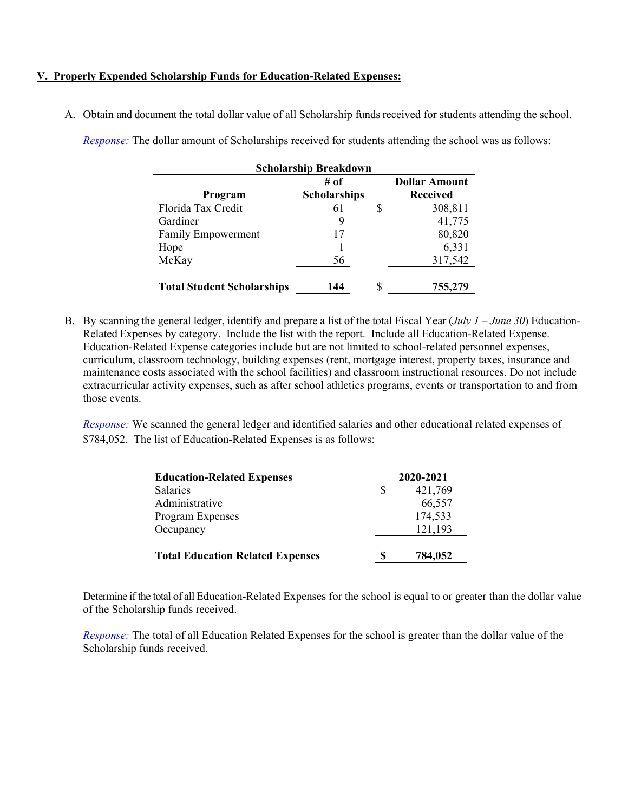### **V. Properly Expended Scholarship Funds for Education-Related Expenses:**

A. Obtain and document the total dollar value of all Scholarship funds received for students attending the school.

*Response:* The dollar amount of Scholarships received for students attending the school was as follows:

| <b>Scholarship Breakdown</b>      |                     |    |                      |  |
|-----------------------------------|---------------------|----|----------------------|--|
|                                   | # of                |    | <b>Dollar Amount</b> |  |
| Program                           | <b>Scholarships</b> |    | <b>Received</b>      |  |
| Florida Tax Credit                | 61                  | \$ | 308,811              |  |
| Gardiner                          | 9                   |    | 41,775               |  |
| <b>Family Empowerment</b>         | 17                  |    | 80,820               |  |
| Hope                              |                     |    | 6,331                |  |
| McKay                             | 56                  |    | 317,542              |  |
| <b>Total Student Scholarships</b> | 144                 | \$ | 755,279              |  |

B. By scanning the general ledger, identify and prepare a list of the total Fiscal Year (*July 1 – June* 30) Education-Related Expenses by category. Include the list with the report. Include all Education-Related Expense. Education-Related Expense categories include but are not limited to school-related personnel expenses, curriculum, classroom technology, building expenses (rent, mortgage interest, property taxes, insurance and maintenance costs associated with the school facilities) and classroom instructional resources. Do not include extracurricular activity expenses, such as after school athletics programs, events or transportation to and from those events.

*Response:* We scanned the general ledger and identified salaries and other educational related expenses of \$784,052. The list of Education-Related Expenses is as follows:

| <b>Education-Related Expenses</b>       |    | 2020-2021 |
|-----------------------------------------|----|-----------|
| <b>Salaries</b>                         | \$ | 421,769   |
| Administrative                          |    | 66,557    |
| Program Expenses                        |    | 174,533   |
| Occupancy                               |    | 121,193   |
| <b>Total Education Related Expenses</b> | S  | 784,052   |

Determine if the total of all Education-Related Expenses for the school is equal to or greater than the dollar value of the Scholarship funds received.

*Response:* The total of all Education Related Expenses for the school is greater than the dollar value of the Scholarship funds received.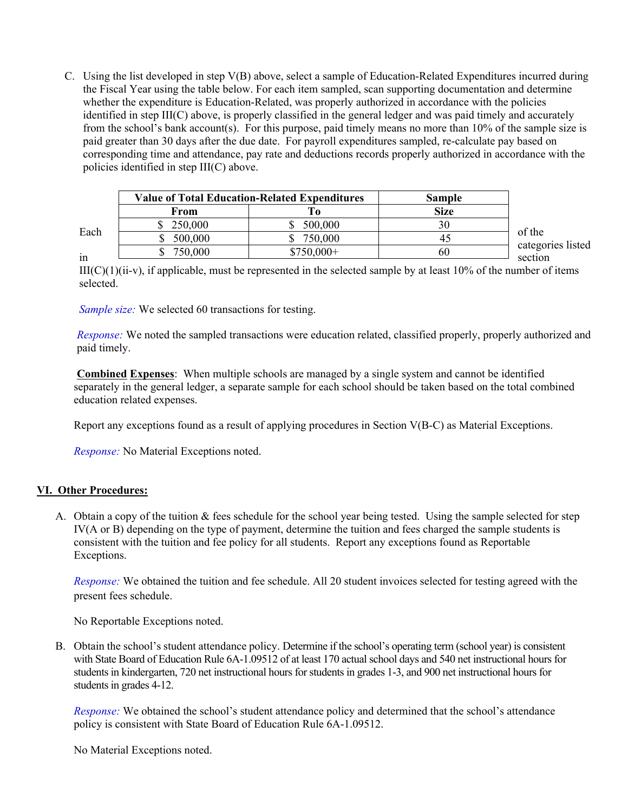C. Using the list developed in step V(B) above, select a sample of Education-Related Expenditures incurred during the Fiscal Year using the table below. For each item sampled, scan supporting documentation and determine whether the expenditure is Education-Related, was properly authorized in accordance with the policies identified in step III(C) above, is properly classified in the general ledger and was paid timely and accurately from the school's bank account(s). For this purpose, paid timely means no more than 10% of the sample size is paid greater than 30 days after the due date. For payroll expenditures sampled, re-calculate pay based on corresponding time and attendance, pay rate and deductions records properly authorized in accordance with the policies identified in step III(C) above.

|      | <b>Value of Total Education-Related Expenditures</b> |             | Sample      |                             |
|------|------------------------------------------------------|-------------|-------------|-----------------------------|
|      | From                                                 |             | <b>Size</b> |                             |
| Each | 250,000                                              | 500,000     | 30          |                             |
|      | 500,000                                              | 750,000     | 45          | of the<br>categories listed |
| ın   | 750,000                                              | $$750,000+$ | 60          | section                     |

 $III(C)(1)(ii-v)$ , if applicable, must be represented in the selected sample by at least 10% of the number of items selected.

*Sample size:* We selected 60 transactions for testing.

*Response:* We noted the sampled transactions were education related, classified properly, properly authorized and paid timely.

**Combined Expenses**: When multiple schools are managed by a single system and cannot be identified separately in the general ledger, a separate sample for each school should be taken based on the total combined education related expenses.

Report any exceptions found as a result of applying procedures in Section V(B-C) as Material Exceptions.

*Response:* No Material Exceptions noted.

# **VI. Other Procedures:**

A. Obtain a copy of the tuition & fees schedule for the school year being tested. Using the sample selected for step IV(A or B) depending on the type of payment, determine the tuition and fees charged the sample students is consistent with the tuition and fee policy for all students. Report any exceptions found as Reportable Exceptions.

*Response:* We obtained the tuition and fee schedule. All 20 student invoices selected for testing agreed with the present fees schedule.

No Reportable Exceptions noted.

B. Obtain the school's student attendance policy. Determine if the school's operating term (school year) is consistent with State Board of Education Rule 6A-1.09512 of at least 170 actual school days and 540 net instructional hours for students in kindergarten, 720 net instructional hours for students in grades 1-3, and 900 net instructional hours for students in grades 4-12.

*Response:* We obtained the school's student attendance policy and determined that the school's attendance policy is consistent with State Board of Education Rule 6A-1.09512.

No Material Exceptions noted.